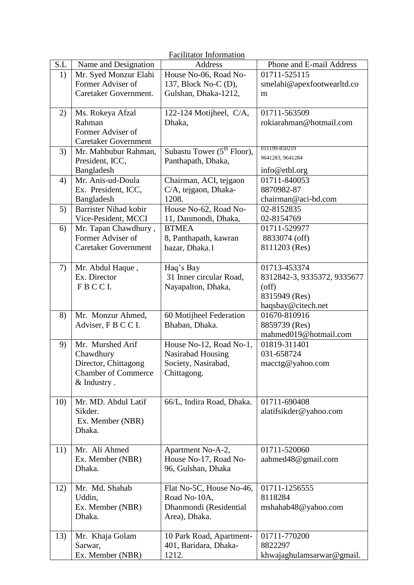| <b>Facilitator Information</b> |                                  |                                          |                                             |  |  |
|--------------------------------|----------------------------------|------------------------------------------|---------------------------------------------|--|--|
| S.L                            | Name and Designation             | <b>Address</b>                           | Phone and E-mail Address                    |  |  |
| 1)                             | Mr. Syed Monzur Elahi            | House No-06, Road No-                    | 01711-525115                                |  |  |
|                                | Former Adviser of                | 137, Block No-C (D),                     | smelahi@apexfootwearltd.co                  |  |  |
|                                | Caretaker Government.            | Gulshan, Dhaka-1212,                     | m                                           |  |  |
|                                |                                  |                                          |                                             |  |  |
| 2)                             | Ms. Rokeya Afzal                 | 122-124 Motijheel, C/A,                  | 01711-563509                                |  |  |
|                                | Rahman                           | Dhaka,                                   | rokiarahman@hotmail.com                     |  |  |
|                                | Former Adviser of                |                                          |                                             |  |  |
|                                | <b>Caretaker Government</b>      |                                          | 011199-850219                               |  |  |
| 3)                             | Mr. Mahbubur Rahman,             | Subastu Tower $(5^{th}$ Floor),          | 9641283, 9641284                            |  |  |
|                                | President, ICC,                  | Panthapath, Dhaka,                       |                                             |  |  |
|                                | Bangladesh                       |                                          | info@etbl.org                               |  |  |
| 4)                             | Mr. Anis-ud-Doula                | Chairman, ACI, tejgaon                   | 01711-840053                                |  |  |
|                                | Ex. President, ICC,              | C/A, tejgaon, Dhaka-                     | 8870982-87                                  |  |  |
|                                | Bangladesh                       | 1208.                                    | chairman@aci-bd.com                         |  |  |
| 5)                             | <b>Barrister Nihad kobir</b>     | House No-62, Road No-                    | 02-8152835                                  |  |  |
|                                | Vice-Pesident, MCCI              | 11, Danmondi, Dhaka,                     | 02-8154769                                  |  |  |
| 6)                             | Mr. Tapan Chawdhury,             | <b>BTMEA</b>                             | 01711-529977                                |  |  |
|                                | Former Adviser of                | 8, Panthapath, kawran                    | 8833074 (off)                               |  |  |
|                                | <b>Caretaker Government</b>      | bazar, Dhaka.                            | 8111203 (Res)                               |  |  |
|                                |                                  |                                          |                                             |  |  |
| 7)                             | Mr. Abdul Haque,<br>Ex. Director | Haq's Bay<br>31 Inner circular Road,     | 01713-453374<br>8312842-3, 9335372, 9335677 |  |  |
|                                | FBCCI.                           | Nayapalton, Dhaka,                       | $($ off $)$                                 |  |  |
|                                |                                  |                                          | 8315949 (Res)                               |  |  |
|                                |                                  |                                          | haqsbay@citech.net                          |  |  |
| 8)                             | Mr. Monzur Ahmed,                | 60 Motijheel Federation                  | 01670-810916                                |  |  |
|                                | Adviser, F B C C I.              | Bhaban, Dhaka.                           | 8859739 (Res)                               |  |  |
|                                |                                  |                                          | mahmed019@hotmail.com                       |  |  |
| 9)                             | Mr. Murshed Arif                 | House No-12, Road No-1,                  | 01819-311401                                |  |  |
|                                | Chawdhury                        | Nasirabad Housing                        | 031-658724                                  |  |  |
|                                | Director, Chittagong             | Society, Nasirabad,                      | macctg@yahoo.com                            |  |  |
|                                | <b>Chamber of Commerce</b>       | Chittagong.                              |                                             |  |  |
|                                | & Industry.                      |                                          |                                             |  |  |
|                                |                                  |                                          |                                             |  |  |
| 10)                            | Mr. MD. Abdul Latif              | 66/L, Indira Road, Dhaka.                | 01711-690408                                |  |  |
|                                | Sikder.                          |                                          | alatifsikder@yahoo.com                      |  |  |
|                                | Ex. Member (NBR)                 |                                          |                                             |  |  |
|                                | Dhaka.                           |                                          |                                             |  |  |
|                                |                                  |                                          |                                             |  |  |
| 11)                            | Mr. Ali Ahmed                    | Apartment No-A-2,                        | 01711-520060                                |  |  |
|                                | Ex. Member (NBR)                 | House No-17, Road No-                    | aahmed48@gmail.com                          |  |  |
|                                | Dhaka.                           | 96, Gulshan, Dhaka                       |                                             |  |  |
|                                |                                  |                                          |                                             |  |  |
| 12)                            | Mr. Md. Shahab<br>Uddin,         | Flat No-5C, House No-46,<br>Road No-10A, | 01711-1256555<br>8118284                    |  |  |
|                                |                                  |                                          |                                             |  |  |
|                                | Ex. Member (NBR)<br>Dhaka.       | Dhanmondi (Residential<br>Area), Dhaka.  | mshahab48@yahoo.com                         |  |  |
|                                |                                  |                                          |                                             |  |  |
| 13)                            | Mr. Khaja Golam                  | 10 Park Road, Apartment-                 | 01711-770200                                |  |  |
|                                | Sarwar,                          | 401, Baridara, Dhaka-                    | 8822297                                     |  |  |
|                                | Ex. Member (NBR)                 | 1212.                                    | khwajaghulamsarwar@gmail.                   |  |  |